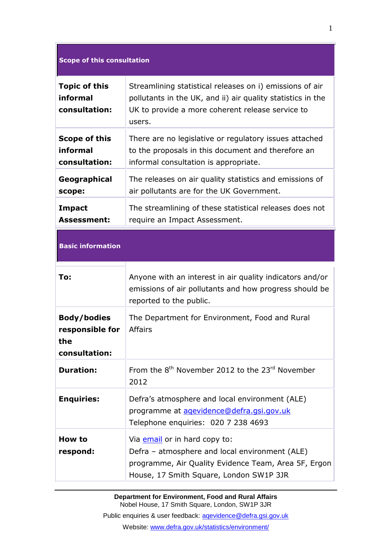| <b>Scope of this consultation</b>                             |                                                                                                                                                                                       |
|---------------------------------------------------------------|---------------------------------------------------------------------------------------------------------------------------------------------------------------------------------------|
| <b>Topic of this</b><br>informal<br>consultation:             | Streamlining statistical releases on i) emissions of air<br>pollutants in the UK, and ii) air quality statistics in the<br>UK to provide a more coherent release service to<br>users. |
| <b>Scope of this</b><br>informal<br>consultation:             | There are no legislative or regulatory issues attached<br>to the proposals in this document and therefore an<br>informal consultation is appropriate.                                 |
| Geographical<br>scope:                                        | The releases on air quality statistics and emissions of<br>air pollutants are for the UK Government.                                                                                  |
| <b>Impact</b><br><b>Assessment:</b>                           | The streamlining of these statistical releases does not<br>require an Impact Assessment.                                                                                              |
| <b>Basic information</b>                                      |                                                                                                                                                                                       |
| To:                                                           | Anyone with an interest in air quality indicators and/or<br>emissions of air pollutants and how progress should be<br>reported to the public.                                         |
| <b>Body/bodies</b><br>responsible for<br>the<br>consultation: | The Department for Environment, Food and Rural<br><b>Affairs</b>                                                                                                                      |
| <b>Duration:</b>                                              | From the 8 <sup>th</sup> November 2012 to the 23 <sup>rd</sup> November<br>2012                                                                                                       |
| <b>Enquiries:</b>                                             | Defra's atmosphere and local environment (ALE)<br>programme at agevidence@defra.gsi.gov.uk<br>Telephone enquiries: 020 7 238 4693                                                     |
| How to<br>respond:                                            | Via email or in hard copy to:<br>Defra - atmosphere and local environment (ALE)<br>programme, Air Quality Evidence Team, Area 5F, Ergon<br>House, 17 Smith Square, London SW1P 3JR    |

**Department for Environment, Food and Rural Affairs** Nobel House, 17 Smith Square, London, SW1P 3JR

Public enquiries & user feedback: aqevidence@defra.gsi.gov.uk Website: www.defra.gov.uk/statistics/environment/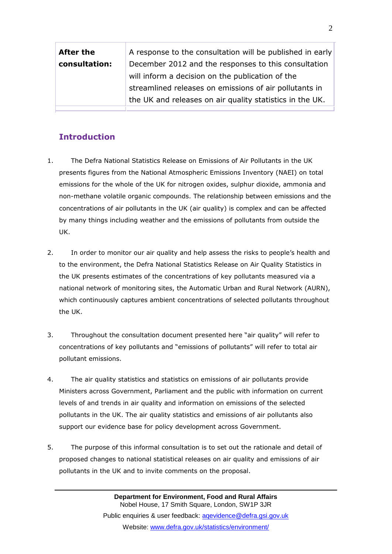| <b>After the</b> | A response to the consultation will be published in early |
|------------------|-----------------------------------------------------------|
| consultation:    | December 2012 and the responses to this consultation      |
|                  | will inform a decision on the publication of the          |
|                  | streamlined releases on emissions of air pollutants in    |
|                  | the UK and releases on air quality statistics in the UK.  |
|                  |                                                           |

# **Introduction**

- 1. The Defra National Statistics Release on Emissions of Air Pollutants in the UK presents figures from the National Atmospheric Emissions Inventory (NAEI) on total emissions for the whole of the UK for nitrogen oxides, sulphur dioxide, ammonia and non-methane volatile organic compounds. The relationship between emissions and the concentrations of air pollutants in the UK (air quality) is complex and can be affected by many things including weather and the emissions of pollutants from outside the UK.
- 2. In order to monitor our air quality and help assess the risks to people"s health and to the environment, the Defra National Statistics Release on Air Quality Statistics in the UK presents estimates of the concentrations of key pollutants measured via a national network of monitoring sites, the Automatic Urban and Rural Network (AURN), which continuously captures ambient concentrations of selected pollutants throughout the UK.
- 3. Throughout the consultation document presented here "air quality" will refer to concentrations of key pollutants and "emissions of pollutants" will refer to total air pollutant emissions.
- 4. The air quality statistics and statistics on emissions of air pollutants provide Ministers across Government, Parliament and the public with information on current levels of and trends in air quality and information on emissions of the selected pollutants in the UK. The air quality statistics and emissions of air pollutants also support our evidence base for policy development across Government.
- 5. The purpose of this informal consultation is to set out the rationale and detail of proposed changes to national statistical releases on air quality and emissions of air pollutants in the UK and to invite comments on the proposal.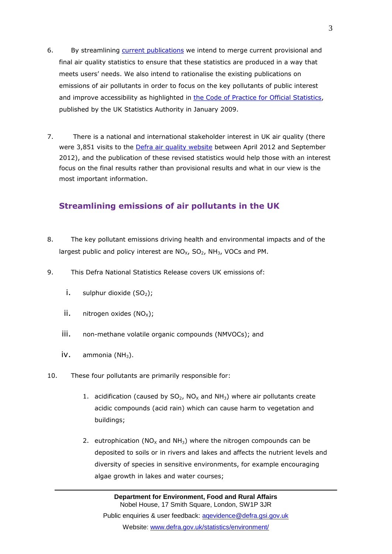- 6. By streamlining [current publications](http://www.defra.gov.uk/statistics/environment/air-quality/) we intend to merge current provisional and final air quality statistics to ensure that these statistics are produced in a way that meets users" needs. We also intend to rationalise the existing publications on emissions of air pollutants in order to focus on the key pollutants of public interest and improve accessibility as highlighted in [the Code of Practice for Official Statistics,](http://www.statisticsauthority.gov.uk/assessment/code-of-practice/index.html) published by the UK Statistics Authority in January 2009.
- 7. There is a national and international stakeholder interest in UK air quality (there were 3,851 visits to the *Defra air quality website* between April 2012 and September 2012), and the publication of these revised statistics would help those with an interest focus on the final results rather than provisional results and what in our view is the most important information.

### **Streamlining emissions of air pollutants in the UK**

- 8. The key pollutant emissions driving health and environmental impacts and of the largest public and policy interest are  $NO_{X}$ ,  $SO_{2}$ ,  $NH_{3}$ , VOCs and PM.
- 9. This Defra National Statistics Release covers UK emissions of:
	- i. sulphur dioxide  $(SO<sub>2</sub>)$ ;
	- ii.  $nitrogen$  oxides  $(NO_x)$ ;
	- iii. non-methane volatile organic compounds (NMVOCs); and
	- $iv.$  ammonia (NH<sub>3</sub>).
- 10. These four pollutants are primarily responsible for:
	- 1. acidification (caused by  $SO_2$ ,  $NO_x$  and  $NH_3$ ) where air pollutants create acidic compounds (acid rain) which can cause harm to vegetation and buildings;
	- 2. eutrophication ( $NO<sub>x</sub>$  and  $NH<sub>3</sub>$ ) where the nitrogen compounds can be deposited to soils or in rivers and lakes and affects the nutrient levels and diversity of species in sensitive environments, for example encouraging algae growth in lakes and water courses;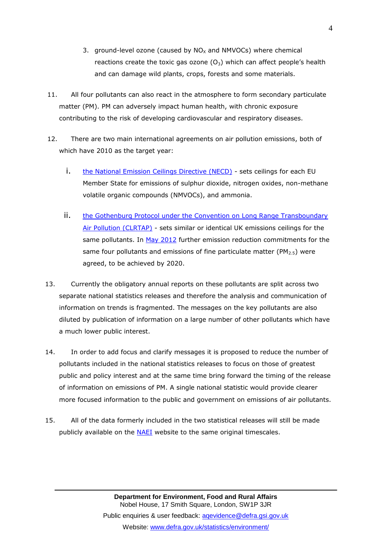- 3. ground-level ozone (caused by  $NO<sub>X</sub>$  and NMVOCs) where chemical reactions create the toxic gas ozone  $(O_3)$  which can affect people's health and can damage wild plants, crops, forests and some materials.
- 11. All four pollutants can also react in the atmosphere to form secondary particulate matter (PM). PM can adversely impact human health, with chronic exposure contributing to the risk of developing cardiovascular and respiratory diseases.
- 12. There are two main international agreements on air pollution emissions, both of which have 2010 as the target year:
	- i. [the National Emission Ceilings Directive \(NECD\)](http://eur-lex.europa.eu/LexUriServ/LexUriServ.do?uri=OJ:L:2001:309:0022:0030:EN:PDF.) sets ceilings for each EU Member State for emissions of sulphur dioxide, nitrogen oxides, non-methane volatile organic compounds (NMVOCs), and ammonia.
	- ii. [the Gothenburg Protocol under the Convention on Long Range Transboundary](http://www.unece.org/fileadmin/DAM/env/lrtap/full%20text/1999%20Multi.E.Amended.2005.pdf.)  [Air Pollution \(CLRTAP\)](http://www.unece.org/fileadmin/DAM/env/lrtap/full%20text/1999%20Multi.E.Amended.2005.pdf.) - sets similar or identical UK emissions ceilings for the same pollutants. In [May 2012](http://www.unece.org/index.php?id=29858.) further emission reduction commitments for the same four pollutants and emissions of fine particulate matter ( $PM<sub>2.5</sub>$ ) were agreed, to be achieved by 2020.
- 13. Currently the obligatory annual reports on these pollutants are split across two separate national statistics releases and therefore the analysis and communication of information on trends is fragmented. The messages on the key pollutants are also diluted by publication of information on a large number of other pollutants which have a much lower public interest.
- 14. In order to add focus and clarify messages it is proposed to reduce the number of pollutants included in the national statistics releases to focus on those of greatest public and policy interest and at the same time bring forward the timing of the release of information on emissions of PM. A single national statistic would provide clearer more focused information to the public and government on emissions of air pollutants.
- 15. All of the data formerly included in the two statistical releases will still be made publicly available on the **NAEI** website to the same original timescales.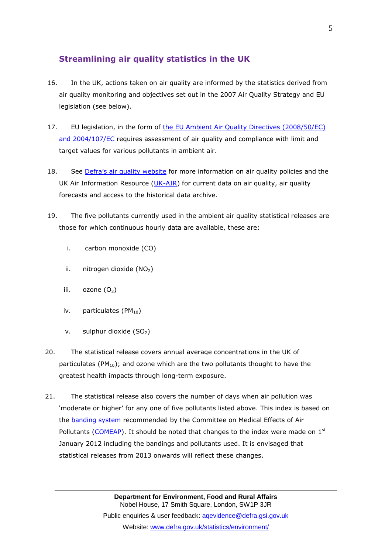## **Streamlining air quality statistics in the UK**

- 16. In the UK, actions taken on air quality are informed by the statistics derived from air quality monitoring and objectives set out in the 2007 Air Quality Strategy and EU legislation (see below).
- 17. EU legislation, in the form of the [EU Ambient Air Quality Directives](http://ec.europa.eu/environment/air/quality/legislation/existing_leg.htm) (2008/50/EC) [and 2004/107/EC](http://ec.europa.eu/environment/air/quality/legislation/existing_leg.htm) requires assessment of air quality and compliance with limit and target values for various pollutants in ambient air.
- 18. See [Defra"s air quality website](http://www.defra.gov.uk/statistics/environment/air-quality/) for more information on air quality policies and the UK Air Information Resource  $(UK-AIR)$  for current data on air quality, air quality forecasts and access to the historical data archive.
- 19. The five pollutants currently used in the ambient air quality statistical releases are those for which continuous hourly data are available, these are:
	- i. carbon monoxide (CO)
	- ii. nitrogen dioxide  $(NO<sub>2</sub>)$
	- iii.  $ozone(O<sub>3</sub>)$
	- iv. particulates  $(PM_{10})$
	- v. sulphur dioxide  $(SO<sub>2</sub>)$
- 20. The statistical release covers annual average concentrations in the UK of particulates ( $PM_{10}$ ); and ozone which are the two pollutants thought to have the greatest health impacts through long-term exposure.
- 21. The statistical release also covers the number of days when air pollution was "moderate or higher" for any one of five pollutants listed above. This index is based on the **banding system** recommended by the Committee on Medical Effects of Air Pollutants [\(COMEAP\)](http://comeap.org.uk/). It should be noted that changes to the index were made on  $1<sup>st</sup>$ January 2012 including the bandings and pollutants used. It is envisaged that statistical releases from 2013 onwards will reflect these changes.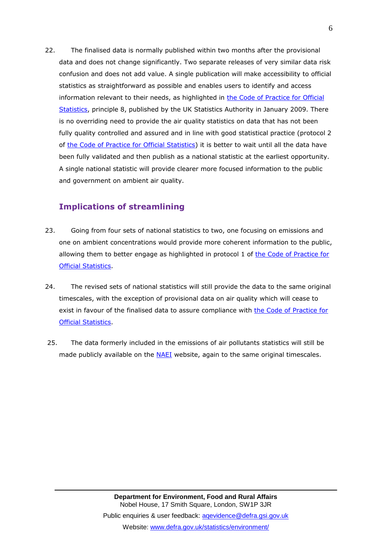22. The finalised data is normally published within two months after the provisional data and does not change significantly. Two separate releases of very similar data risk confusion and does not add value. A single publication will make accessibility to official statistics as straightforward as possible and enables users to identify and access information relevant to their needs, as highlighted in [the Code of Practice for Official](http://www.statisticsauthority.gov.uk/assessment/code-of-practice/index.html)  [Statistics,](http://www.statisticsauthority.gov.uk/assessment/code-of-practice/index.html) principle 8, published by the UK Statistics Authority in January 2009. There is no overriding need to provide the air quality statistics on data that has not been fully quality controlled and assured and in line with good statistical practice (protocol 2 of [the Code of Practice for Official Statistics\)](http://www.statisticsauthority.gov.uk/assessment/code-of-practice/index.html) it is better to wait until all the data have been fully validated and then publish as a national statistic at the earliest opportunity. A single national statistic will provide clearer more focused information to the public and government on ambient air quality.

## **Implications of streamlining**

- 23. Going from four sets of national statistics to two, one focusing on emissions and one on ambient concentrations would provide more coherent information to the public, allowing them to better engage as highlighted in protocol 1 of the Code of Practice for [Official Statistics.](http://www.statisticsauthority.gov.uk/assessment/code-of-practice/index.html)
- 24. The revised sets of national statistics will still provide the data to the same original timescales, with the exception of provisional data on air quality which will cease to exist in favour of the finalised data to assure compliance with [the Code of Practice for](http://www.statisticsauthority.gov.uk/assessment/code-of-practice/index.html)  [Official Statistics.](http://www.statisticsauthority.gov.uk/assessment/code-of-practice/index.html)
- 25. The data formerly included in the emissions of air pollutants statistics will still be made publicly available on the **NAEI** website, again to the same original timescales.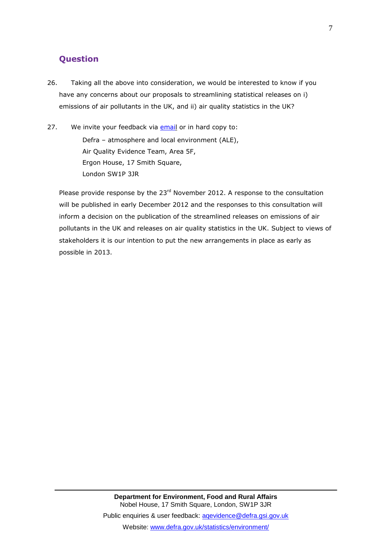#### **Question**

- 26. Taking all the above into consideration, we would be interested to know if you have any concerns about our proposals to streamlining statistical releases on i) emissions of air pollutants in the UK, and ii) air quality statistics in the UK?
- 27. We invite your feedback via [email](mailto:aqevidence@defra.gsi.gov.uk) or in hard copy to: Defra – atmosphere and local environment (ALE), Air Quality Evidence Team, Area 5F, Ergon House, 17 Smith Square, London SW1P 3JR

Please provide response by the 23<sup>rd</sup> November 2012. A response to the consultation will be published in early December 2012 and the responses to this consultation will inform a decision on the publication of the streamlined releases on emissions of air pollutants in the UK and releases on air quality statistics in the UK. Subject to views of stakeholders it is our intention to put the new arrangements in place as early as possible in 2013.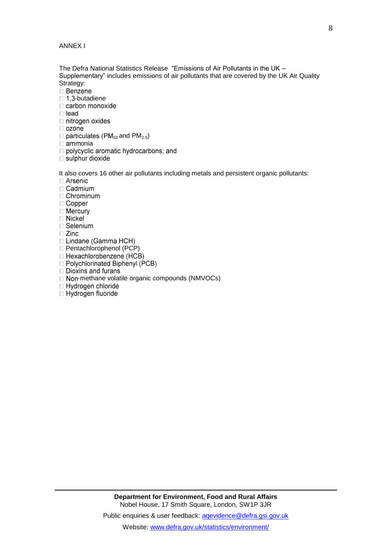ANNEX I

The Defra National Statistics Release "Emissions of Air Pollutants in the UK – Supplementary" includes emissions of air pollutants that are covered by the UK Air Quality Strategy:<br> **Benzene** 

- 
- $\Box$  1,3-butadiene<br> $\Box$  carbon monoxide
- $\Box$  lead
- □ nitrogen oxides
- $\Box$  ozone
- $\Box$  particulates (PM<sub>10</sub> and PM<sub>2.5</sub>)
- $\square$  ammonia
- polycyclic aromatic hydrocarbons; and
- $\Box$  sulphur dioxide

It also covers 16 other air pollutants including metals and persistent organic pollutants:

- $\Box$  Arsenic
- $\Box$  Cadmium
- $\Box$  Chrominum
- $\Box$  Copper
- □ Mercury
- □ Nickel
- □ Selenium
- $\square$  Zinc
- □ Lindane (Gamma HCH)
- □ Pentachlorophenol (PCP)<br>□ Hexachlorobenzene (HCB)
- 
- □ Polychlorinated Biphenyl (PCB)
- $\Box$  Dioxins and furans
- $\Box$  Non-methane volatile organic compounds (NMVOCs)
- □ Hydrogen chloride
- □ Hydrogen fluoride